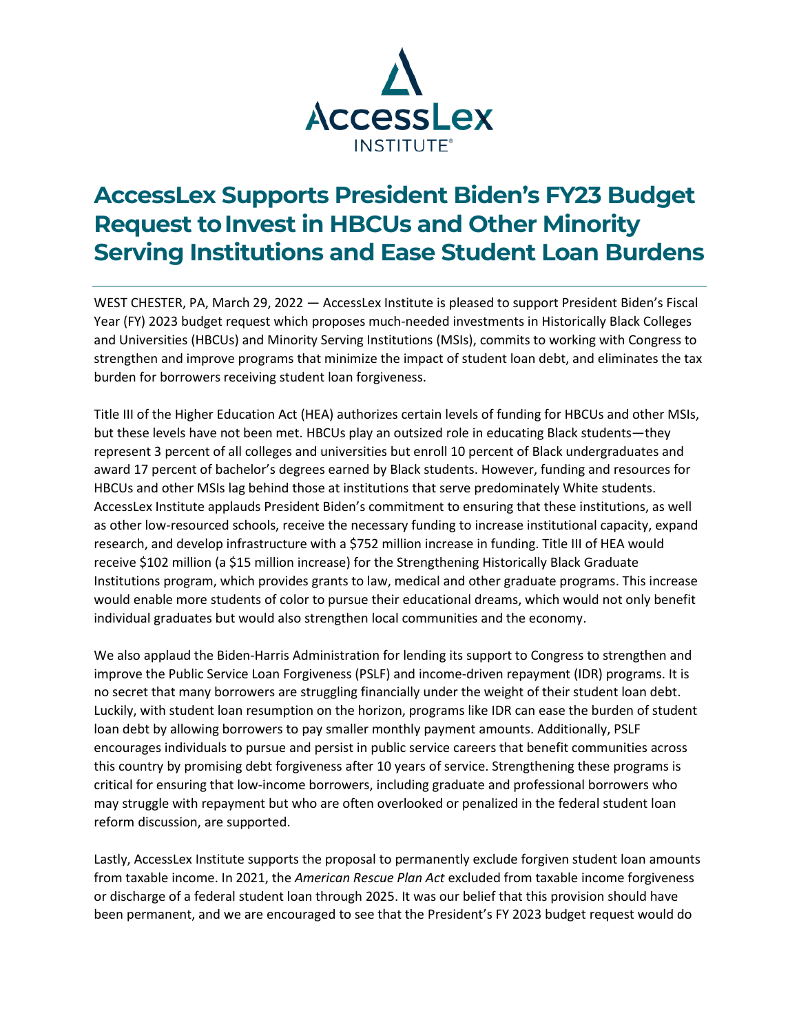

## **AccessLex Supports President Biden's FY23 Budget Request to Invest in HBCUs and Other Minority Serving Institutions and Ease Student Loan Burdens**

WEST CHESTER, PA, March 29, 2022 — AccessLex Institute is pleased to support President Biden's Fiscal Year (FY) 2023 budget request which proposes much-needed investments in Historically Black Colleges and Universities (HBCUs) and Minority Serving Institutions (MSIs), commits to working with Congress to strengthen and improve programs that minimize the impact of student loan debt, and eliminates the tax burden for borrowers receiving student loan forgiveness.

Title III of the Higher Education Act (HEA) authorizes certain levels of funding for HBCUs and other MSIs, but these levels have not been met. HBCUs play an outsized role in educating Black students—they represent 3 percent of all colleges and universities but enroll 10 percent of Black undergraduates and award 17 percent of bachelor's degrees earned by Black students. However, funding and resources for HBCUs and other MSIs lag behind those at institutions that serve predominately White students. AccessLex Institute applauds President Biden's commitment to ensuring that these institutions, as well as other low-resourced schools, receive the necessary funding to increase institutional capacity, expand research, and develop infrastructure with a \$752 million increase in funding. Title III of HEA would receive \$102 million (a \$15 million increase) for the Strengthening Historically Black Graduate Institutions program, which provides grants to law, medical and other graduate programs. This increase would enable more students of color to pursue their educational dreams, which would not only benefit individual graduates but would also strengthen local communities and the economy.

We also applaud the Biden-Harris Administration for lending its support to Congress to strengthen and improve the Public Service Loan Forgiveness (PSLF) and income-driven repayment (IDR) programs. It is no secret that many borrowers are struggling financially under the weight of their student loan debt. Luckily, with student loan resumption on the horizon, programs like IDR can ease the burden of student loan debt by allowing borrowers to pay smaller monthly payment amounts. Additionally, PSLF encourages individuals to pursue and persist in public service careers that benefit communities across this country by promising debt forgiveness after 10 years of service. Strengthening these programs is critical for ensuring that low-income borrowers, including graduate and professional borrowers who may struggle with repayment but who are often overlooked or penalized in the federal student loan reform discussion, are supported.

Lastly, AccessLex Institute supports the proposal to permanently exclude forgiven student loan amounts from taxable income. In 2021, the *American Rescue Plan Act* excluded from taxable income forgiveness or discharge of a federal student loan through 2025. It was our belief that this provision should have been permanent, and we are encouraged to see that the President's FY 2023 budget request would do